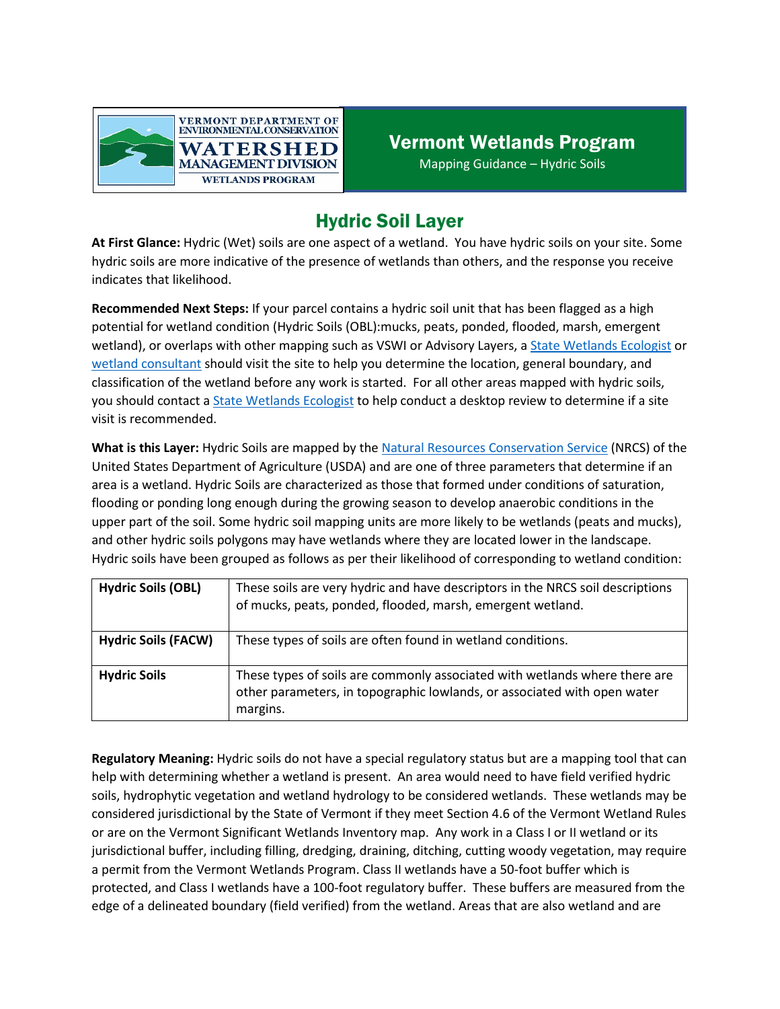

## Hydric Soil Layer

**At First Glance:** Hydric (Wet) soils are one aspect of a wetland. You have hydric soils on your site. Some hydric soils are more indicative of the presence of wetlands than others, and the response you receive indicates that likelihood.

**Recommended Next Steps:** If your parcel contains a hydric soil unit that has been flagged as a high potential for wetland condition (Hydric Soils (OBL):mucks, peats, ponded, flooded, marsh, emergent wetland), or overlaps with other mapping such as VSWI or Advisory Layers, [a State Wetlands Ecologist](https://dec.vermont.gov/watershed/wetlands/contact) or [wetland consultant](https://dec.vermont.gov/watershed/wetlands/what/id/wetland-consultant-list) should visit the site to help you determine the location, general boundary, and classification of the wetland before any work is started. For all other areas mapped with hydric soils, you should contact a [State Wetlands Ecologist](https://dec.vermont.gov/watershed/wetlands/contact) to help conduct a desktop review to determine if a site visit is recommended.

**What is this Layer:** Hydric Soils are mapped by the Natural Resources [Conservation Service](https://www.nrcs.usda.gov/wps/portal/nrcs/site/national/home/) (NRCS) of the United States Department of Agriculture (USDA) and are one of three parameters that determine if an area is a wetland. Hydric Soils are characterized as those that formed under conditions of saturation, flooding or ponding long enough during the growing season to develop anaerobic conditions in the upper part of the soil. Some hydric soil mapping units are more likely to be wetlands (peats and mucks), and other hydric soils polygons may have wetlands where they are located lower in the landscape. Hydric soils have been grouped as follows as per their likelihood of corresponding to wetland condition:

| <b>Hydric Soils (OBL)</b>  | These soils are very hydric and have descriptors in the NRCS soil descriptions<br>of mucks, peats, ponded, flooded, marsh, emergent wetland.                       |
|----------------------------|--------------------------------------------------------------------------------------------------------------------------------------------------------------------|
| <b>Hydric Soils (FACW)</b> | These types of soils are often found in wetland conditions.                                                                                                        |
| <b>Hydric Soils</b>        | These types of soils are commonly associated with wetlands where there are<br>other parameters, in topographic lowlands, or associated with open water<br>margins. |

**Regulatory Meaning:** Hydric soils do not have a special regulatory status but are a mapping tool that can help with determining whether a wetland is present. An area would need to have field verified hydric soils, hydrophytic vegetation and wetland hydrology to be considered wetlands. These wetlands may be considered jurisdictional by the State of Vermont if they meet Section 4.6 of the Vermont Wetland Rules or are on the Vermont Significant Wetlands Inventory map. Any work in a Class I or II wetland or its jurisdictional buffer, including filling, dredging, draining, ditching, cutting woody vegetation, may require a permit from the Vermont Wetlands Program. Class II wetlands have a 50-foot buffer which is protected, and Class I wetlands have a 100-foot regulatory buffer. These buffers are measured from the edge of a delineated boundary (field verified) from the wetland. Areas that are also wetland and are